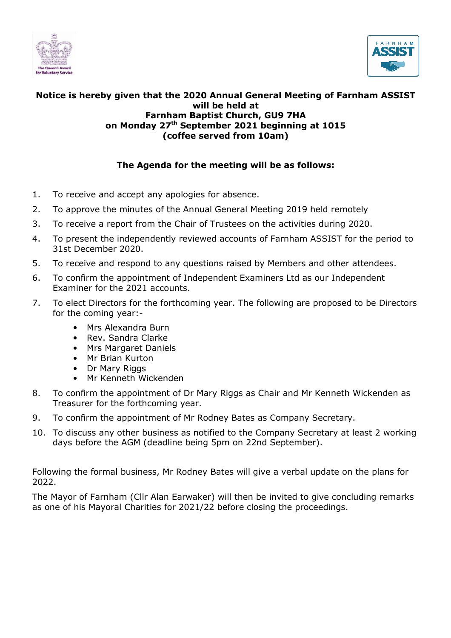



### Notice is hereby given that the 2020 Annual General Meeting of Farnham ASSIST will be held at Farnham Baptist Church, GU9 7HA on Monday 27<sup>th</sup> September 2021 beginning at 1015 (coffee served from 10am)

## The Agenda for the meeting will be as follows:

- 1. To receive and accept any apologies for absence.
- 2. To approve the minutes of the Annual General Meeting 2019 held remotely
- 3. To receive a report from the Chair of Trustees on the activities during 2020.
- 4. To present the independently reviewed accounts of Farnham ASSIST for the period to 31st December 2020.
- 5. To receive and respond to any questions raised by Members and other attendees.
- 6. To confirm the appointment of Independent Examiners Ltd as our Independent Examiner for the 2021 accounts.
- 7. To elect Directors for the forthcoming year. The following are proposed to be Directors for the coming year:-
	- Mrs Alexandra Burn
	- Rev. Sandra Clarke
	- Mrs Margaret Daniels
	- Mr Brian Kurton
	- Dr Mary Riggs
	- Mr Kenneth Wickenden
- 8. To confirm the appointment of Dr Mary Riggs as Chair and Mr Kenneth Wickenden as Treasurer for the forthcoming year.
- 9. To confirm the appointment of Mr Rodney Bates as Company Secretary.
- 10. To discuss any other business as notified to the Company Secretary at least 2 working days before the AGM (deadline being 5pm on 22nd September).

Following the formal business, Mr Rodney Bates will give a verbal update on the plans for 2022.

The Mayor of Farnham (Cllr Alan Earwaker) will then be invited to give concluding remarks as one of his Mayoral Charities for 2021/22 before closing the proceedings.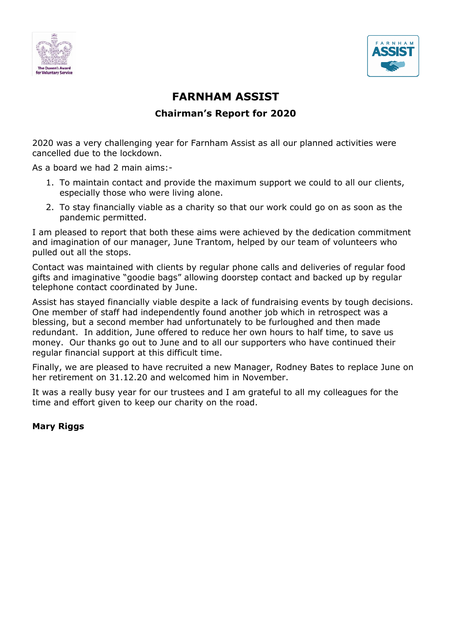



# FARNHAM ASSIST Chairman's Report for 2020

2020 was a very challenging year for Farnham Assist as all our planned activities were cancelled due to the lockdown.

As a board we had 2 main aims:-

- 1. To maintain contact and provide the maximum support we could to all our clients, especially those who were living alone.
- 2. To stay financially viable as a charity so that our work could go on as soon as the pandemic permitted.

I am pleased to report that both these aims were achieved by the dedication commitment and imagination of our manager, June Trantom, helped by our team of volunteers who pulled out all the stops.

Contact was maintained with clients by regular phone calls and deliveries of regular food gifts and imaginative "goodie bags" allowing doorstep contact and backed up by regular telephone contact coordinated by June.

Assist has stayed financially viable despite a lack of fundraising events by tough decisions. One member of staff had independently found another job which in retrospect was a blessing, but a second member had unfortunately to be furloughed and then made redundant. In addition, June offered to reduce her own hours to half time, to save us money. Our thanks go out to June and to all our supporters who have continued their regular financial support at this difficult time.

Finally, we are pleased to have recruited a new Manager, Rodney Bates to replace June on her retirement on 31.12.20 and welcomed him in November.

It was a really busy year for our trustees and I am grateful to all my colleagues for the time and effort given to keep our charity on the road.

### Mary Riggs